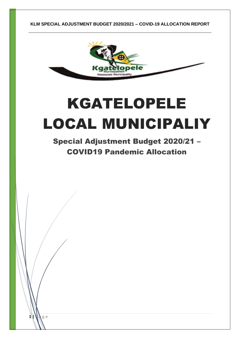

# KGATELOPELE LOCAL MUNICIPALIY

Special Adjustment Budget 2020/21 – COVID19 Pandemic Allocation

 $1$  **W**  $_8$  e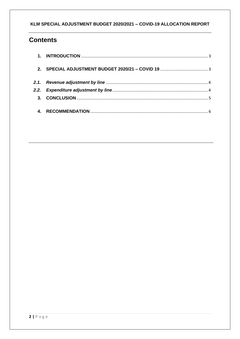## **Contents**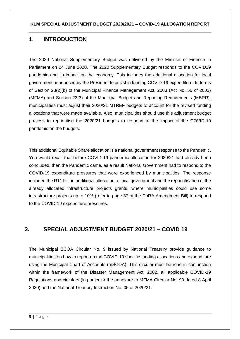## <span id="page-2-0"></span>**1. INTRODUCTION**

The 2020 National Supplementary Budget was delivered by the Minister of Finance in Parliament on 24 June 2020. The 2020 Supplementary Budget responds to the COVID19 pandemic and its impact on the economy. This includes the additional allocation for local government announced by the President to assist in funding COVID-19 expenditure. In terms of Section 28(2)(b) of the Municipal Finance Management Act, 2003 (Act No. 56 of 2003) (MFMA) and Section 23(3) of the Municipal Budget and Reporting Requirements (MBRR), municipalities must adjust their 2020/21 MTREF budgets to account for the revised funding allocations that were made available. Also, municipalities should use this adjustment budget process to reprioritise the 2020/21 budgets to respond to the impact of the COVID-19 pandemic on the budgets.

This additional Equitable Share allocation is a national government response to the Pandemic. You would recall that before COVID-19 pandemic allocation for 2020/21 had already been concluded, then the Pandemic came, as a result National Government had to respond to the COVID-19 expenditure pressures that were experienced by municipalities. The response included the R11 billion additional allocation to local government and the reprioritisation of the already allocated infrastructure projects grants, where municipalities could use some infrastructure projects up to 10% (refer to page 37 of the DoRA Amendment Bill) to respond to the COVID-19 expenditure pressures.

## <span id="page-2-1"></span>**2. SPECIAL ADJUSTMENT BUDGET 2020/21 – COVID 19**

The Municipal SCOA Circular No. 9 issued by National Treasury provide guidance to municipalities on how to report on the COVID-19 specific funding allocations and expenditure using the Municipal Chart of Accounts (mSCOA). This circular must be read in conjunction within the framework of the Disaster Management Act, 2002, all applicable COVID-19 Regulations and circulars (in particular the annexure to MFMA Circular No. 99 dated 8 April 2020) and the National Treasury Instruction No. 05 of 2020/21.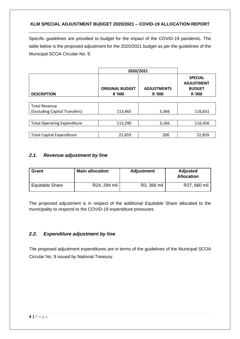Specific guidelines are provided to budget for the impact of the COVID-19 pandemic. The table below is the proposed adjustment for the 2020/2021 budget as per the guidelines of the Municipal SCOA Circular No. 9.

|                                    | 2020/2021                               |                              |                                                                |
|------------------------------------|-----------------------------------------|------------------------------|----------------------------------------------------------------|
| <b>DESCRIPTION</b>                 | <b>ORIGINAL BUDGET</b><br><b>R</b> '000 | <b>ADJUSTMENTS</b><br>R '000 | <b>SPECIAL</b><br><b>ADJUSTMENT</b><br><b>BUDGET</b><br>R '000 |
|                                    |                                         |                              |                                                                |
| <b>Total Revenue</b>               |                                         |                              |                                                                |
| (Excluding Capital Transfers)      | 113,465                                 | 3,366                        | 116,831                                                        |
|                                    |                                         |                              |                                                                |
| <b>Total Operating Expenditure</b> | 113,290                                 | 3,166                        | 116,456                                                        |
|                                    |                                         |                              |                                                                |
| <b>Total Capital Expenditure</b>   | 22,659                                  | 200                          | 22,859                                                         |

#### <span id="page-3-0"></span>*2.1. Revenue adjustment by line*

| <b>Grant</b>           | <b>Main allocation</b> | <b>Adjustment</b> | <b>Adjusted</b><br><b>Allocation</b> |
|------------------------|------------------------|-------------------|--------------------------------------|
| <b>Equitable Share</b> | R24, 294 mil           | R3, 366 mil       | R27, 660 mil                         |

The proposed adjustment is in respect of the additional Equitable Share allocated to the municipality to respond to the COVID-19 expenditure pressures.

#### <span id="page-3-1"></span>*2.2. Expenditure adjustment by line*

The proposed adjustment expenditures are in terms of the guidelines of the Municipal SCOA Circular No. 9 issued by National Treasury.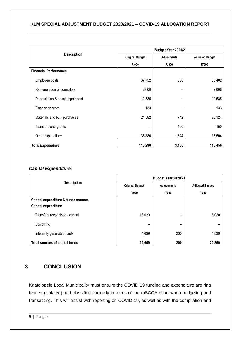|                                 | Budget Year 2020/21    |                    |                        |
|---------------------------------|------------------------|--------------------|------------------------|
| <b>Description</b>              | <b>Original Budget</b> | <b>Adjustments</b> | <b>Adjusted Budget</b> |
|                                 | <b>R'000</b>           | <b>R'000</b>       | <b>R'000</b>           |
| <b>Financial Performance</b>    |                        |                    |                        |
| Employee costs                  | 37,752                 | 650                | 38,402                 |
| Remuneration of councilors      | 2,608                  |                    | 2,608                  |
| Depreciation & asset impairment | 12,535                 | -                  | 12,535                 |
| Finance charges                 | 133                    | -                  | 133                    |
| Materials and bulk purchases    | 24,382                 | 742                | 25,124                 |
| Transfers and grants            |                        | 150                | 150                    |
| Other expenditure               | 35,880                 | 1,624              | 37,504                 |
| <b>Total Expenditure</b>        | 113,290                | 3,166              | 116,456                |

#### *Capital Expenditure:*

|                                                            | Budget Year 2020/21    |                    |                        |
|------------------------------------------------------------|------------------------|--------------------|------------------------|
| <b>Description</b>                                         | <b>Original Budget</b> | <b>Adjustments</b> | <b>Adjusted Budget</b> |
|                                                            | <b>R'000</b>           | <b>R'000</b>       | <b>R'000</b>           |
| Capital expenditure & funds sources<br>Capital expenditure |                        |                    |                        |
| Transfers recognised - capital                             | 18,020                 | -                  | 18,020                 |
| Borrowing                                                  |                        | -                  |                        |
| Internally generated funds                                 | 4,639                  | 200                | 4,839                  |
| Total sources of capital funds                             | 22,659                 | 200                | 22,859                 |

## <span id="page-4-0"></span>**3. CONCLUSION**

Kgatelopele Local Municipality must ensure the COVID 19 funding and expenditure are ring fenced (isolated) and classified correctly in terms of the mSCOA chart when budgeting and transacting. This will assist with reporting on COVID-19, as well as with the compilation and